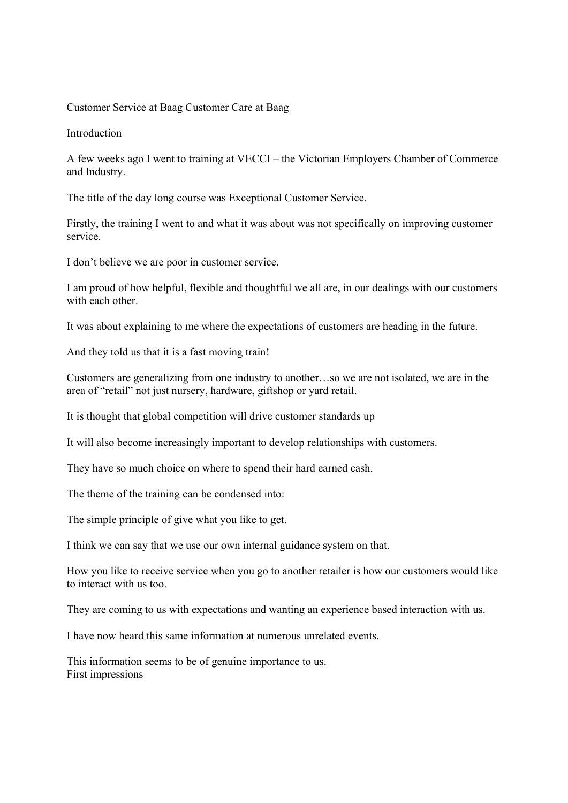### Customer Service at Baag Customer Care at Baag

Introduction

A few weeks ago I went to training at VECCI – the Victorian Employers Chamber of Commerce and Industry.

The title of the day long course was Exceptional Customer Service.

Firstly, the training I went to and what it was about was not specifically on improving customer service.

I don't believe we are poor in customer service.

I am proud of how helpful, flexible and thoughtful we all are, in our dealings with our customers with each other

It was about explaining to me where the expectations of customers are heading in the future.

And they told us that it is a fast moving train!

Customers are generalizing from one industry to another…so we are not isolated, we are in the area of "retail" not just nursery, hardware, giftshop or yard retail.

It is thought that global competition will drive customer standards up

It will also become increasingly important to develop relationships with customers.

They have so much choice on where to spend their hard earned cash.

The theme of the training can be condensed into:

The simple principle of give what you like to get.

I think we can say that we use our own internal guidance system on that.

How you like to receive service when you go to another retailer is how our customers would like to interact with us too.

They are coming to us with expectations and wanting an experience based interaction with us.

I have now heard this same information at numerous unrelated events.

This information seems to be of genuine importance to us. First impressions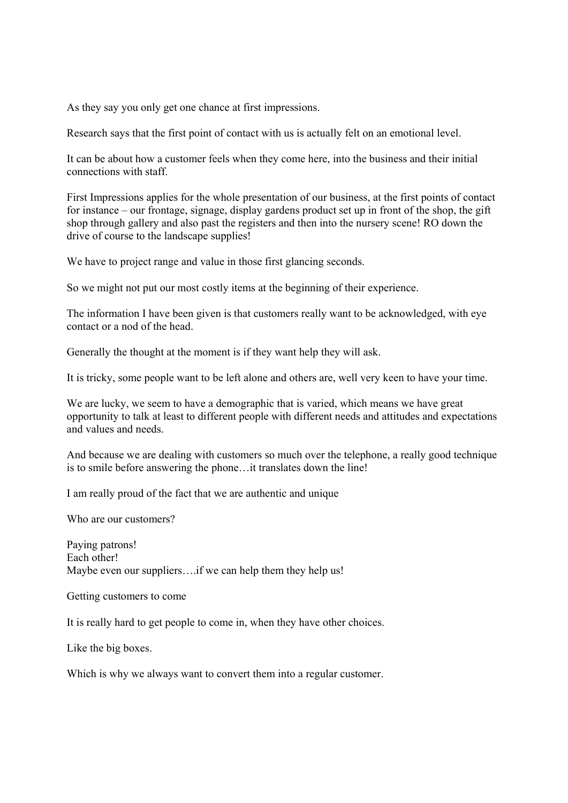As they say you only get one chance at first impressions.

Research says that the first point of contact with us is actually felt on an emotional level.

It can be about how a customer feels when they come here, into the business and their initial connections with staff.

First Impressions applies for the whole presentation of our business, at the first points of contact for instance – our frontage, signage, display gardens product set up in front of the shop, the gift shop through gallery and also past the registers and then into the nursery scene! RO down the drive of course to the landscape supplies!

We have to project range and value in those first glancing seconds.

So we might not put our most costly items at the beginning of their experience.

The information I have been given is that customers really want to be acknowledged, with eye contact or a nod of the head.

Generally the thought at the moment is if they want help they will ask.

It is tricky, some people want to be left alone and others are, well very keen to have your time.

We are lucky, we seem to have a demographic that is varied, which means we have great opportunity to talk at least to different people with different needs and attitudes and expectations and values and needs.

And because we are dealing with customers so much over the telephone, a really good technique is to smile before answering the phone…it translates down the line!

I am really proud of the fact that we are authentic and unique

Who are our customers?

Paying patrons! Each other! Maybe even our suppliers....if we can help them they help us!

Getting customers to come

It is really hard to get people to come in, when they have other choices.

Like the big boxes.

Which is why we always want to convert them into a regular customer.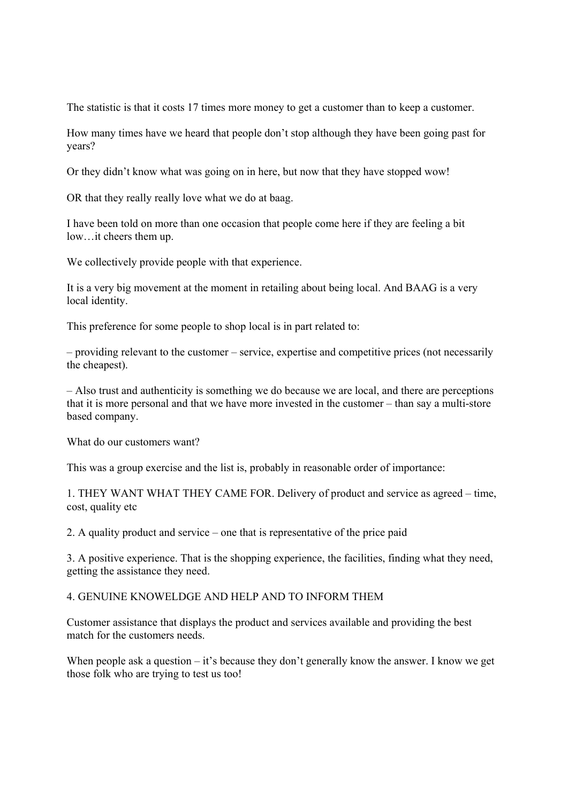The statistic is that it costs 17 times more money to get a customer than to keep a customer.

How many times have we heard that people don't stop although they have been going past for years?

Or they didn't know what was going on in here, but now that they have stopped wow!

OR that they really really love what we do at baag.

I have been told on more than one occasion that people come here if they are feeling a bit low…it cheers them up.

We collectively provide people with that experience.

It is a very big movement at the moment in retailing about being local. And BAAG is a very local identity.

This preference for some people to shop local is in part related to:

– providing relevant to the customer – service, expertise and competitive prices (not necessarily the cheapest).

– Also trust and authenticity is something we do because we are local, and there are perceptions that it is more personal and that we have more invested in the customer – than say a multi-store based company.

What do our customers want?

This was a group exercise and the list is, probably in reasonable order of importance:

1. THEY WANT WHAT THEY CAME FOR. Delivery of product and service as agreed – time, cost, quality etc

2. A quality product and service – one that is representative of the price paid

3. A positive experience. That is the shopping experience, the facilities, finding what they need, getting the assistance they need.

#### 4. GENUINE KNOWELDGE AND HELP AND TO INFORM THEM

Customer assistance that displays the product and services available and providing the best match for the customers needs.

When people ask a question  $-$  it's because they don't generally know the answer. I know we get those folk who are trying to test us too!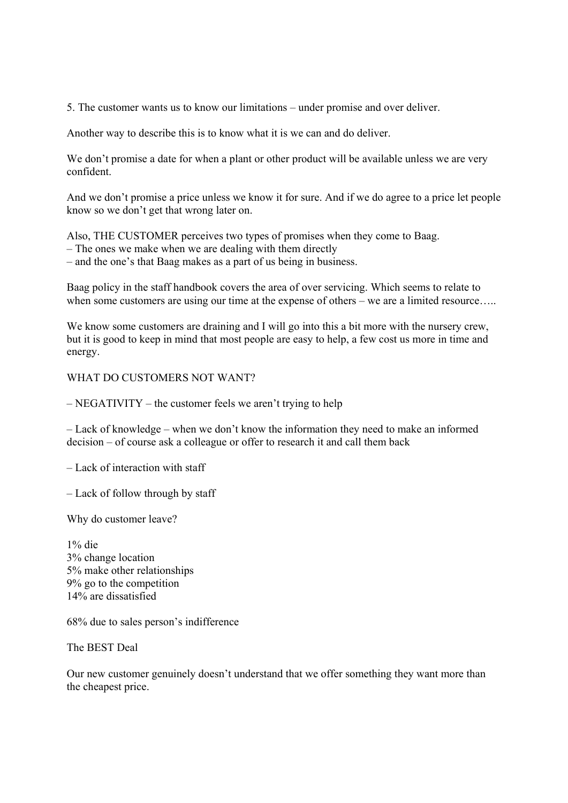5. The customer wants us to know our limitations – under promise and over deliver.

Another way to describe this is to know what it is we can and do deliver.

We don't promise a date for when a plant or other product will be available unless we are very confident.

And we don't promise a price unless we know it for sure. And if we do agree to a price let people know so we don't get that wrong later on.

Also, THE CUSTOMER perceives two types of promises when they come to Baag.

– The ones we make when we are dealing with them directly

– and the one's that Baag makes as a part of us being in business.

Baag policy in the staff handbook covers the area of over servicing. Which seems to relate to when some customers are using our time at the expense of others – we are a limited resource.....

We know some customers are draining and I will go into this a bit more with the nursery crew, but it is good to keep in mind that most people are easy to help, a few cost us more in time and energy.

#### WHAT DO CUSTOMERS NOT WANT?

– NEGATIVITY – the customer feels we aren't trying to help

– Lack of knowledge – when we don't know the information they need to make an informed decision – of course ask a colleague or offer to research it and call them back

– Lack of interaction with staff

– Lack of follow through by staff

Why do customer leave?

1% die 3% change location 5% make other relationships 9% go to the competition 14% are dissatisfied

68% due to sales person's indifference

The BEST Deal

Our new customer genuinely doesn't understand that we offer something they want more than the cheapest price.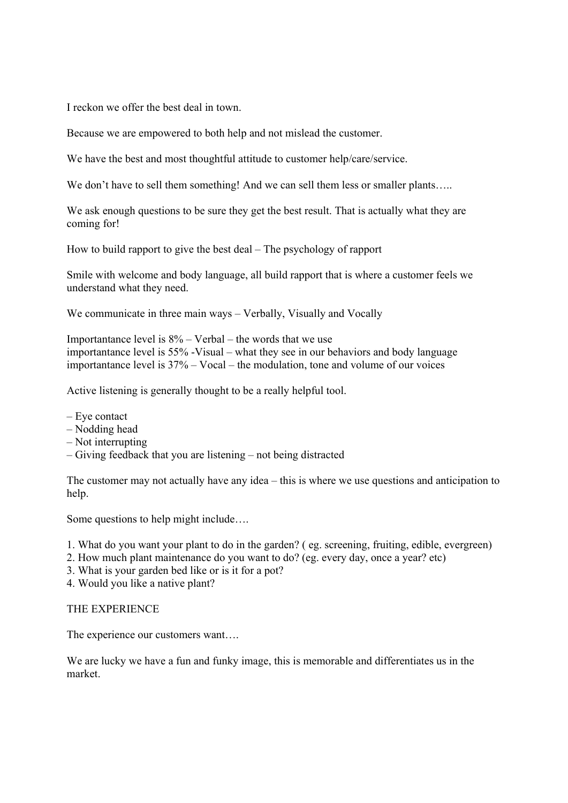I reckon we offer the best deal in town.

Because we are empowered to both help and not mislead the customer.

We have the best and most thoughtful attitude to customer help/care/service.

We don't have to sell them something! And we can sell them less or smaller plants.....

We ask enough questions to be sure they get the best result. That is actually what they are coming for!

How to build rapport to give the best deal – The psychology of rapport

Smile with welcome and body language, all build rapport that is where a customer feels we understand what they need.

We communicate in three main ways – Verbally, Visually and Vocally

Importantance level is  $8\%$  – Verbal – the words that we use importantance level is 55% -Visual – what they see in our behaviors and body language importantance level is 37% – Vocal – the modulation, tone and volume of our voices

Active listening is generally thought to be a really helpful tool.

- Eye contact
- Nodding head
- Not interrupting
- Giving feedback that you are listening not being distracted

The customer may not actually have any idea – this is where we use questions and anticipation to help.

Some questions to help might include….

- 1. What do you want your plant to do in the garden? ( eg. screening, fruiting, edible, evergreen)
- 2. How much plant maintenance do you want to do? (eg. every day, once a year? etc)
- 3. What is your garden bed like or is it for a pot?
- 4. Would you like a native plant?

#### THE EXPERIENCE

The experience our customers want….

We are lucky we have a fun and funky image, this is memorable and differentiates us in the market.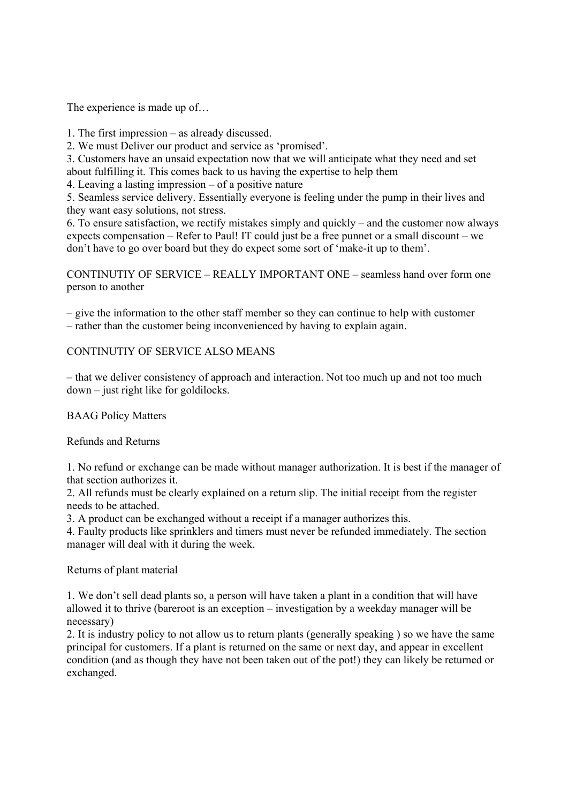The experience is made up of…

1. The first impression – as already discussed.

2. We must Deliver our product and service as 'promised'.

3. Customers have an unsaid expectation now that we will anticipate what they need and set about fulfilling it. This comes back to us having the expertise to help them

4. Leaving a lasting impression – of a positive nature

5. Seamless service delivery. Essentially everyone is feeling under the pump in their lives and they want easy solutions, not stress.

6. To ensure satisfaction, we rectify mistakes simply and quickly – and the customer now always expects compensation – Refer to Paul! IT could just be a free punnet or a small discount – we don't have to go over board but they do expect some sort of 'make-it up to them'.

CONTINUTIY OF SERVICE – REALLY IMPORTANT ONE – seamless hand over form one person to another

– give the information to the other staff member so they can continue to help with customer – rather than the customer being inconvenienced by having to explain again.

## CONTINUTIY OF SERVICE ALSO MEANS

– that we deliver consistency of approach and interaction. Not too much up and not too much down – just right like for goldilocks.

BAAG Policy Matters

Refunds and Returns

1. No refund or exchange can be made without manager authorization. It is best if the manager of that section authorizes it.

2. All refunds must be clearly explained on a return slip. The initial receipt from the register needs to be attached.

3. A product can be exchanged without a receipt if a manager authorizes this.

4. Faulty products like sprinklers and timers must never be refunded immediately. The section manager will deal with it during the week.

Returns of plant material

1. We don't sell dead plants so, a person will have taken a plant in a condition that will have allowed it to thrive (bareroot is an exception – investigation by a weekday manager will be necessary)

2. It is industry policy to not allow us to return plants (generally speaking ) so we have the same principal for customers. If a plant is returned on the same or next day, and appear in excellent condition (and as though they have not been taken out of the pot!) they can likely be returned or exchanged.